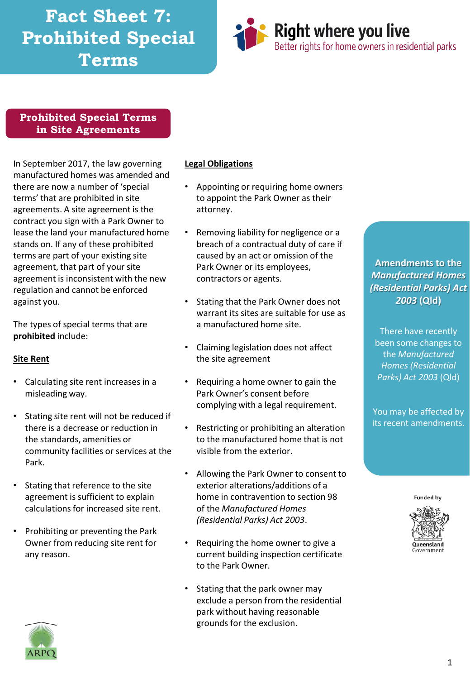# **Fact Sheet 7: Prohibited Special Terms**



#### **Prohibited Special Terms in Site Agreements**

In September 2017, the law governing manufactured homes was amended and there are now a number of 'special terms' that are prohibited in site agreements. A site agreement is the contract you sign with a Park Owner to lease the land your manufactured home stands on. If any of these prohibited terms are part of your existing site agreement, that part of your site agreement is inconsistent with the new regulation and cannot be enforced against you.

The types of special terms that are **prohibited** include:

#### **Site Rent**

- Calculating site rent increases in a misleading way.
- Stating site rent will not be reduced if there is a decrease or reduction in the standards, amenities or community facilities or services at the Park.
- Stating that reference to the site agreement is sufficient to explain calculations for increased site rent.
- Prohibiting or preventing the Park Owner from reducing site rent for any reason.

#### **Legal Obligations**

- Appointing or requiring home owners to appoint the Park Owner as their attorney.
- Removing liability for negligence or a breach of a contractual duty of care if caused by an act or omission of the Park Owner or its employees, contractors or agents.
- Stating that the Park Owner does not warrant its sites are suitable for use as a manufactured home site.
- Claiming legislation does not affect the site agreement
- Requiring a home owner to gain the Park Owner's consent before complying with a legal requirement.
- Restricting or prohibiting an alteration to the manufactured home that is not visible from the exterior.
- Allowing the Park Owner to consent to exterior alterations/additions of a home in contravention to section 98 of the *Manufactured Homes (Residential Parks) Act 2003*.
- Requiring the home owner to give a current building inspection certificate to the Park Owner.
- Stating that the park owner may exclude a person from the residential park without having reasonable grounds for the exclusion.

#### **Amendments to the**  *Manufactured Homes (Residential Parks) Act 2003* **(Qld)**

There have recently been some changes to the *Manufactured Homes (Residential Parks) Act 2003* (Qld)

You may be affected by its recent amendments.